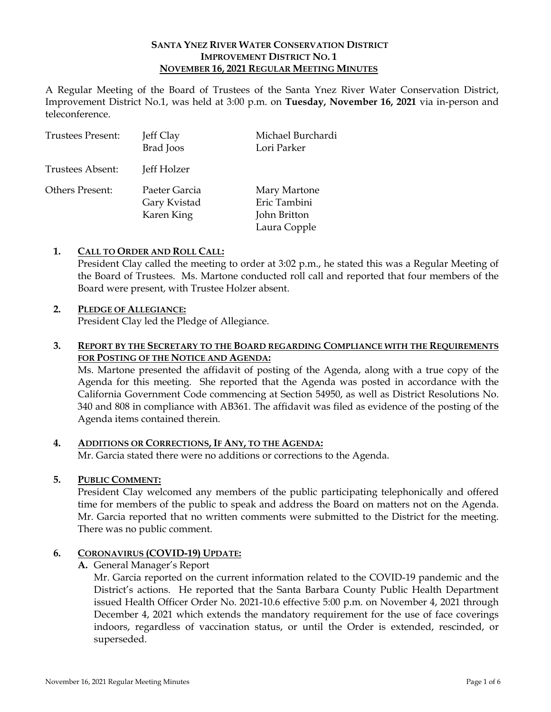# **SANTA YNEZ RIVER WATER CONSERVATION DISTRICT IMPROVEMENT DISTRICT NO. 1 NOVEMBER 16, 2021 REGULAR MEETING MINUTES**

A Regular Meeting of the Board of Trustees of the Santa Ynez River Water Conservation District, Improvement District No.1, was held at 3:00 p.m. on **Tuesday, November 16, 2021** via in-person and teleconference.

| <b>Trustees Present:</b> | Jeff Clay<br><b>Brad</b> Joos               | Michael Burchardi<br>Lori Parker                             |
|--------------------------|---------------------------------------------|--------------------------------------------------------------|
| Trustees Absent:         | Jeff Holzer                                 |                                                              |
| Others Present:          | Paeter Garcia<br>Gary Kvistad<br>Karen King | Mary Martone<br>Eric Tambini<br>John Britton<br>Laura Copple |

# **1. CALL TO ORDER AND ROLL CALL:**

President Clay called the meeting to order at 3:02 p.m., he stated this was a Regular Meeting of the Board of Trustees. Ms. Martone conducted roll call and reported that four members of the Board were present, with Trustee Holzer absent.

## **2. PLEDGE OF ALLEGIANCE:**

President Clay led the Pledge of Allegiance.

## **3. REPORT BY THE SECRETARY TO THE BOARD REGARDING COMPLIANCE WITH THE REQUIREMENTS FOR POSTING OF THE NOTICE AND AGENDA:**

Ms. Martone presented the affidavit of posting of the Agenda, along with a true copy of the Agenda for this meeting. She reported that the Agenda was posted in accordance with the California Government Code commencing at Section 54950, as well as District Resolutions No. 340 and 808 in compliance with AB361. The affidavit was filed as evidence of the posting of the Agenda items contained therein.

# **4. ADDITIONS OR CORRECTIONS, IF ANY, TO THE AGENDA:**

Mr. Garcia stated there were no additions or corrections to the Agenda.

#### **5. PUBLIC COMMENT:**

President Clay welcomed any members of the public participating telephonically and offered time for members of the public to speak and address the Board on matters not on the Agenda. Mr. Garcia reported that no written comments were submitted to the District for the meeting. There was no public comment.

#### **6. CORONAVIRUS (COVID-19) UPDATE:**

**A.** General Manager's Report

Mr. Garcia reported on the current information related to the COVID-19 pandemic and the District's actions. He reported that the Santa Barbara County Public Health Department issued Health Officer Order No. 2021-10.6 effective 5:00 p.m. on November 4, 2021 through December 4, 2021 which extends the mandatory requirement for the use of face coverings indoors, regardless of vaccination status, or until the Order is extended, rescinded, or superseded.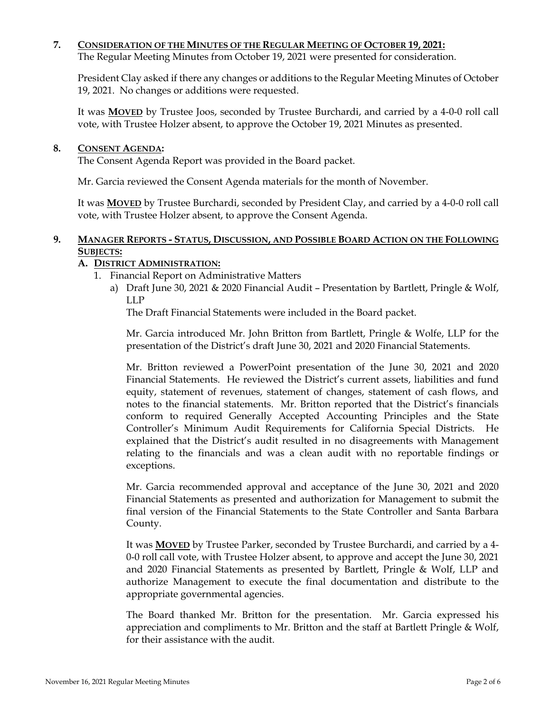## **7. CONSIDERATION OF THE MINUTES OF THE REGULAR MEETING OF OCTOBER 19, 2021:**

The Regular Meeting Minutes from October 19, 2021 were presented for consideration.

President Clay asked if there any changes or additions to the Regular Meeting Minutes of October 19, 2021. No changes or additions were requested.

It was **MOVED** by Trustee Joos, seconded by Trustee Burchardi, and carried by a 4-0-0 roll call vote, with Trustee Holzer absent, to approve the October 19, 2021 Minutes as presented.

## **8. CONSENT AGENDA:**

The Consent Agenda Report was provided in the Board packet.

Mr. Garcia reviewed the Consent Agenda materials for the month of November.

It was **MOVED** by Trustee Burchardi, seconded by President Clay, and carried by a 4-0-0 roll call vote, with Trustee Holzer absent, to approve the Consent Agenda.

# **9. MANAGER REPORTS - STATUS, DISCUSSION, AND POSSIBLE BOARD ACTION ON THE FOLLOWING SUBJECTS:**

# **A. DISTRICT ADMINISTRATION:**

- 1. Financial Report on Administrative Matters
	- a) Draft June 30, 2021 & 2020 Financial Audit Presentation by Bartlett, Pringle & Wolf, LLP

The Draft Financial Statements were included in the Board packet.

Mr. Garcia introduced Mr. John Britton from Bartlett, Pringle & Wolfe, LLP for the presentation of the District's draft June 30, 2021 and 2020 Financial Statements.

Mr. Britton reviewed a PowerPoint presentation of the June 30, 2021 and 2020 Financial Statements. He reviewed the District's current assets, liabilities and fund equity, statement of revenues, statement of changes, statement of cash flows, and notes to the financial statements. Mr. Britton reported that the District's financials conform to required Generally Accepted Accounting Principles and the State Controller's Minimum Audit Requirements for California Special Districts. He explained that the District's audit resulted in no disagreements with Management relating to the financials and was a clean audit with no reportable findings or exceptions.

Mr. Garcia recommended approval and acceptance of the June 30, 2021 and 2020 Financial Statements as presented and authorization for Management to submit the final version of the Financial Statements to the State Controller and Santa Barbara County.

It was **MOVED** by Trustee Parker, seconded by Trustee Burchardi, and carried by a 4- 0-0 roll call vote, with Trustee Holzer absent, to approve and accept the June 30, 2021 and 2020 Financial Statements as presented by Bartlett, Pringle & Wolf, LLP and authorize Management to execute the final documentation and distribute to the appropriate governmental agencies.

The Board thanked Mr. Britton for the presentation. Mr. Garcia expressed his appreciation and compliments to Mr. Britton and the staff at Bartlett Pringle & Wolf, for their assistance with the audit.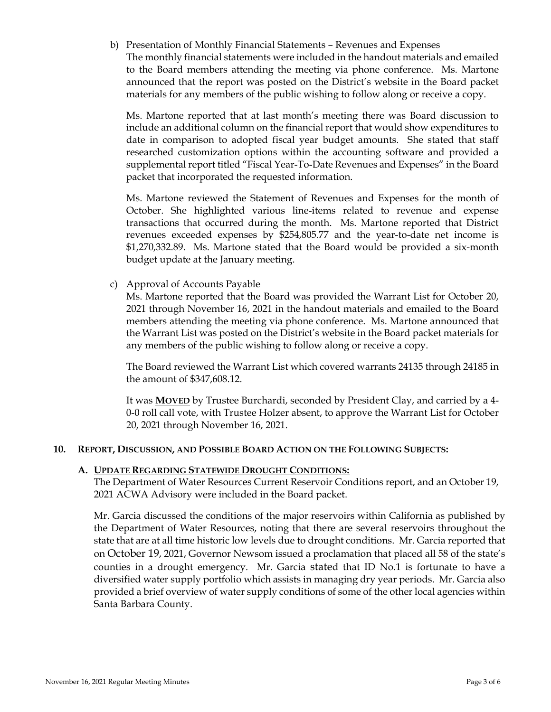b) Presentation of Monthly Financial Statements – Revenues and Expenses The monthly financial statements were included in the handout materials and emailed to the Board members attending the meeting via phone conference. Ms. Martone announced that the report was posted on the District's website in the Board packet materials for any members of the public wishing to follow along or receive a copy.

Ms. Martone reported that at last month's meeting there was Board discussion to include an additional column on the financial report that would show expenditures to date in comparison to adopted fiscal year budget amounts. She stated that staff researched customization options within the accounting software and provided a supplemental report titled "Fiscal Year-To-Date Revenues and Expenses" in the Board packet that incorporated the requested information.

Ms. Martone reviewed the Statement of Revenues and Expenses for the month of October. She highlighted various line-items related to revenue and expense transactions that occurred during the month. Ms. Martone reported that District revenues exceeded expenses by \$254,805.77 and the year-to-date net income is \$1,270,332.89. Ms. Martone stated that the Board would be provided a six-month budget update at the January meeting.

c) Approval of Accounts Payable

Ms. Martone reported that the Board was provided the Warrant List for October 20, 2021 through November 16, 2021 in the handout materials and emailed to the Board members attending the meeting via phone conference. Ms. Martone announced that the Warrant List was posted on the District's website in the Board packet materials for any members of the public wishing to follow along or receive a copy.

The Board reviewed the Warrant List which covered warrants 24135 through 24185 in the amount of \$347,608.12.

It was **MOVED** by Trustee Burchardi, seconded by President Clay, and carried by a 4- 0-0 roll call vote, with Trustee Holzer absent, to approve the Warrant List for October 20, 2021 through November 16, 2021.

#### **10. REPORT, DISCUSSION, AND POSSIBLE BOARD ACTION ON THE FOLLOWING SUBJECTS:**

#### **A. UPDATE REGARDING STATEWIDE DROUGHT CONDITIONS:**

The Department of Water Resources Current Reservoir Conditions report, and an October 19, 2021 ACWA Advisory were included in the Board packet.

Mr. Garcia discussed the conditions of the major reservoirs within California as published by the Department of Water Resources, noting that there are several reservoirs throughout the state that are at all time historic low levels due to drought conditions. Mr. Garcia reported that on October 19, 2021, Governor Newsom issued a proclamation that placed all 58 of the state's counties in a drought emergency. Mr. Garcia stated that ID No.1 is fortunate to have a diversified water supply portfolio which assists in managing dry year periods. Mr. Garcia also provided a brief overview of water supply conditions of some of the other local agencies within Santa Barbara County.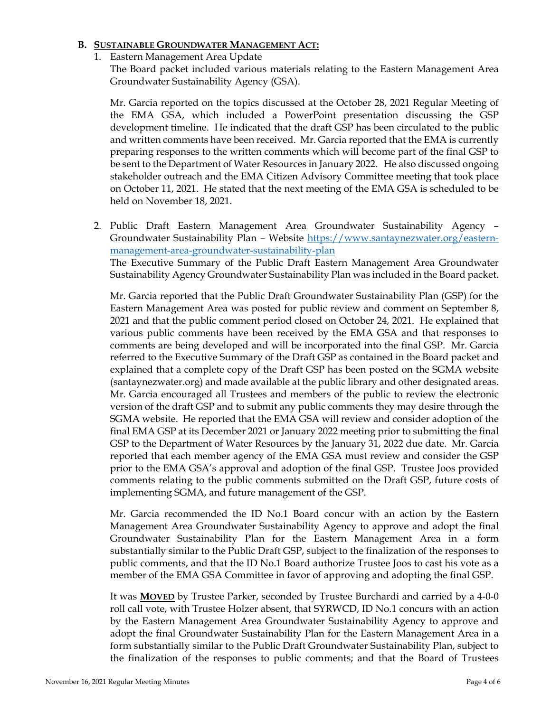## **B. SUSTAINABLE GROUNDWATER MANAGEMENT ACT:**

1. Eastern Management Area Update

The Board packet included various materials relating to the Eastern Management Area Groundwater Sustainability Agency (GSA).

Mr. Garcia reported on the topics discussed at the October 28, 2021 Regular Meeting of the EMA GSA, which included a PowerPoint presentation discussing the GSP development timeline. He indicated that the draft GSP has been circulated to the public and written comments have been received. Mr. Garcia reported that the EMA is currently preparing responses to the written comments which will become part of the final GSP to be sent to the Department of Water Resources in January 2022. He also discussed ongoing stakeholder outreach and the EMA Citizen Advisory Committee meeting that took place on October 11, 2021. He stated that the next meeting of the EMA GSA is scheduled to be held on November 18, 2021.

2. Public Draft Eastern Management Area Groundwater Sustainability Agency – Groundwater Sustainability Plan – Website https://www.santaynezwater.org/easternmanagement-area-groundwater-sustainability-plan The Executive Summary of the Public Draft Eastern Management Area Groundwater Sustainability Agency Groundwater Sustainability Plan was included in the Board packet.

Mr. Garcia reported that the Public Draft Groundwater Sustainability Plan (GSP) for the Eastern Management Area was posted for public review and comment on September 8, 2021 and that the public comment period closed on October 24, 2021. He explained that various public comments have been received by the EMA GSA and that responses to comments are being developed and will be incorporated into the final GSP. Mr. Garcia referred to the Executive Summary of the Draft GSP as contained in the Board packet and explained that a complete copy of the Draft GSP has been posted on the SGMA website (santaynezwater.org) and made available at the public library and other designated areas. Mr. Garcia encouraged all Trustees and members of the public to review the electronic version of the draft GSP and to submit any public comments they may desire through the SGMA website. He reported that the EMA GSA will review and consider adoption of the final EMA GSP at its December 2021 or January 2022 meeting prior to submitting the final GSP to the Department of Water Resources by the January 31, 2022 due date. Mr. Garcia reported that each member agency of the EMA GSA must review and consider the GSP prior to the EMA GSA's approval and adoption of the final GSP. Trustee Joos provided comments relating to the public comments submitted on the Draft GSP, future costs of implementing SGMA, and future management of the GSP.

Mr. Garcia recommended the ID No.1 Board concur with an action by the Eastern Management Area Groundwater Sustainability Agency to approve and adopt the final Groundwater Sustainability Plan for the Eastern Management Area in a form substantially similar to the Public Draft GSP, subject to the finalization of the responses to public comments, and that the ID No.1 Board authorize Trustee Joos to cast his vote as a member of the EMA GSA Committee in favor of approving and adopting the final GSP.

It was **MOVED** by Trustee Parker, seconded by Trustee Burchardi and carried by a 4-0-0 roll call vote, with Trustee Holzer absent, that SYRWCD, ID No.1 concurs with an action by the Eastern Management Area Groundwater Sustainability Agency to approve and adopt the final Groundwater Sustainability Plan for the Eastern Management Area in a form substantially similar to the Public Draft Groundwater Sustainability Plan, subject to the finalization of the responses to public comments; and that the Board of Trustees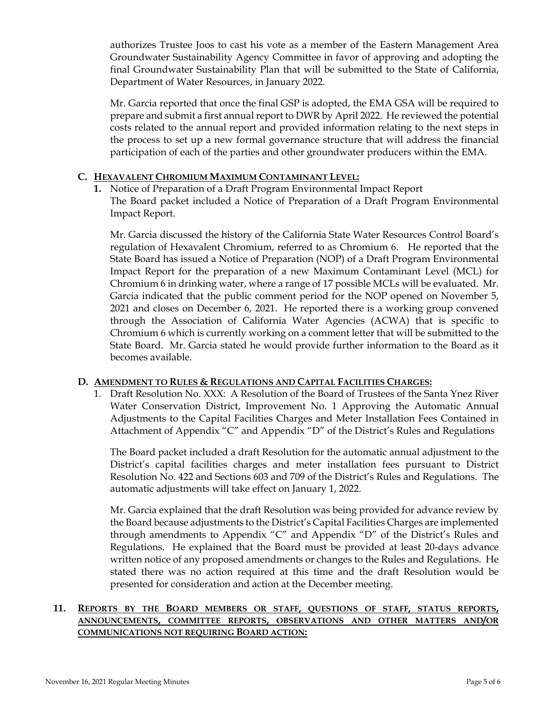authorizes Trustee Joos to cast his vote as a member of the Eastern Management Area Groundwater Sustainability Agency Committee in favor of approving and adopting the final Groundwater Sustainability Plan that will be submitted to the State of California, Department of Water Resources, in January 2022.

Mr. Garcia reported that once the final GSP is adopted, the EMA GSA will be required to prepare and submit a first annual report to DWR by April 2022. He reviewed the potential costs related to the annual report and provided information relating to the next steps in the process to set up a new formal governance structure that will address the financial participation of each of the parties and other groundwater producers within the EMA.

# **C. HEXAVALENT CHROMIUM MAXIMUM CONTAMINANT LEVEL:**

**1.** Notice of Preparation of a Draft Program Environmental Impact Report The Board packet included a Notice of Preparation of a Draft Program Environmental Impact Report.

Mr. Garcia discussed the history of the California State Water Resources Control Board's regulation of Hexavalent Chromium, referred to as Chromium 6. He reported that the State Board has issued a Notice of Preparation (NOP) of a Draft Program Environmental Impact Report for the preparation of a new Maximum Contaminant Level (MCL) for Chromium 6 in drinking water, where a range of 17 possible MCLs will be evaluated. Mr. Garcia indicated that the public comment period for the NOP opened on November 5, 2021 and closes on December 6, 2021. He reported there is a working group convened through the Association of California Water Agencies (ACWA) that is specific to Chromium 6 which is currently working on a comment letter that will be submitted to the State Board. Mr. Garcia stated he would provide further information to the Board as it becomes available.

#### **D. AMENDMENT TO RULES & REGULATIONS AND CAPITAL FACILITIES CHARGES:**

1. Draft Resolution No. XXX: A Resolution of the Board of Trustees of the Santa Ynez River Water Conservation District, Improvement No. 1 Approving the Automatic Annual Adjustments to the Capital Facilities Charges and Meter Installation Fees Contained in Attachment of Appendix "C" and Appendix "D" of the District's Rules and Regulations

The Board packet included a draft Resolution for the automatic annual adjustment to the District's capital facilities charges and meter installation fees pursuant to District Resolution No. 422 and Sections 603 and 709 of the District's Rules and Regulations. The automatic adjustments will take effect on January 1, 2022.

Mr. Garcia explained that the draft Resolution was being provided for advance review by the Board because adjustments to the District's Capital Facilities Charges are implemented through amendments to Appendix "C" and Appendix "D" of the District's Rules and Regulations. He explained that the Board must be provided at least 20-days advance written notice of any proposed amendments or changes to the Rules and Regulations. He stated there was no action required at this time and the draft Resolution would be presented for consideration and action at the December meeting.

## **11. REPORTS BY THE BOARD MEMBERS OR STAFF, QUESTIONS OF STAFF, STATUS REPORTS, ANNOUNCEMENTS, COMMITTEE REPORTS, OBSERVATIONS AND OTHER MATTERS AND/OR COMMUNICATIONS NOT REQUIRING BOARD ACTION:**